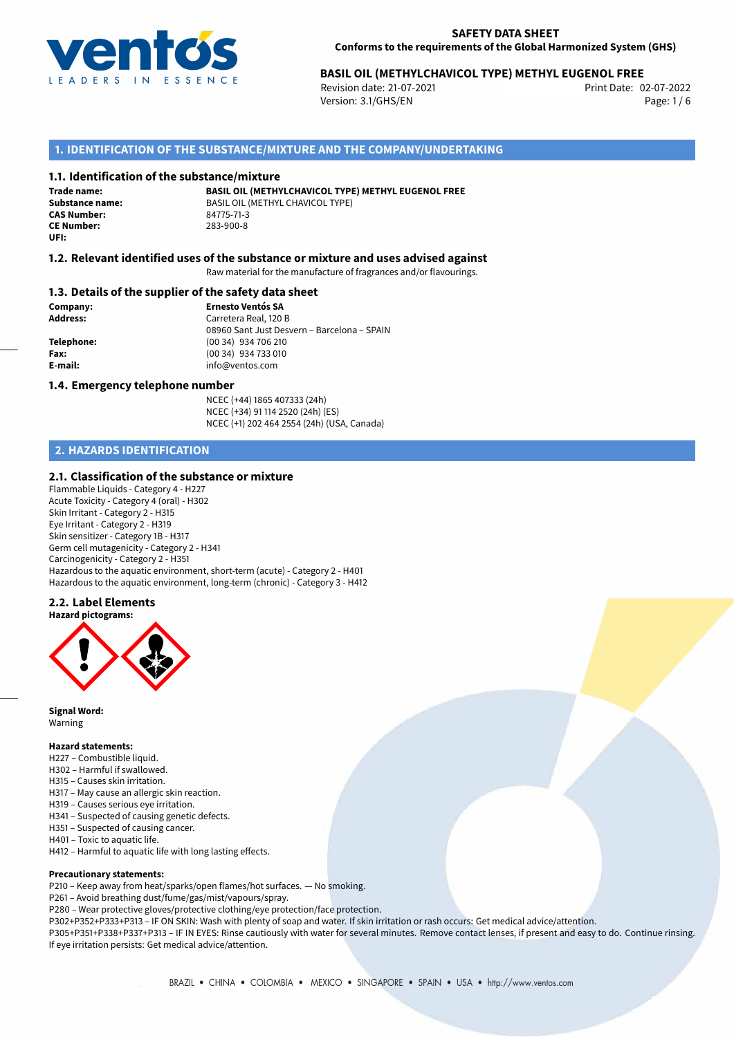

# 02-07-2022 **BASIL OIL (METHYLCHAVICOL TYPE) METHYL EUGENOL FREE**

Revision date: 21-07-2021 Version: 3.1/GHS/EN Page: 1 / 6

## **1. IDENTIFICATION OF THE SUBSTANCE/MIXTURE AND THE COMPANY/UNDERTAKING**

### **1.1. Identification of the substance/mixture**

**Trade name: CAS Number:** 84775-71-3 **CE Number:** 283-900-8 **UFI:**

**BASIL OIL (METHYLCHAVICOL TYPE) METHYL EUGENOL FREE Substance name:** BASIL OIL (METHYL CHAVICOL TYPE)<br>  $R4775-71-3$ 

# **1.2. Relevant identified uses of the substance or mixture and uses advised against**

Raw material for the manufacture of fragrances and/or flavourings.

### **1.3. Details of the supplier of the safety data sheet**

**Company: Ernesto Ventós SA Address:** Carretera Real, 120 B 08960 Sant Just Desvern – Barcelona – SPAIN **Telephone:** (00 34) 934 706 210 **Fax:** (00 34) 934 733 010 **E-mail:** info@ventos.com

### **1.4. Emergency telephone number**

NCEC (+44) 1865 407333 (24h) NCEC (+34) 91 114 2520 (24h) (ES) NCEC (+1) 202 464 2554 (24h) (USA, Canada)

# **2. HAZARDS IDENTIFICATION**

## **2.1. Classification of the substance or mixture**

Flammable Liquids - Category 4 - H227 Acute Toxicity - Category 4 (oral) - H302 Skin Irritant - Category 2 - H315 Eye Irritant - Category 2 - H319 Skin sensitizer - Category 1B - H317 Germ cell mutagenicity - Category 2 - H341 Carcinogenicity - Category 2 - H351 Hazardous to the aquatic environment, short-term (acute) - Category 2 - H401 Hazardous to the aquatic environment, long-term (chronic) - Category 3 - H412

## **2.2. Label Elements**



**Signal Word:** Warning

#### **Hazard statements:**

- H227 Combustible liquid.
- H302 Harmful if swallowed.
- H315 Causes skin irritation.
- H317 May cause an allergic skin reaction.
- H319 Causes serious eye irritation.
- H341 Suspected of causing genetic defects.
- H351 Suspected of causing cancer.
- H401 Toxic to aquatic life.
- H412 Harmful to aquatic life with long lasting effects.

### **Precautionary statements:**

P210 – Keep away from heat/sparks/open flames/hot surfaces. — No smoking.

P261 – Avoid breathing dust/fume/gas/mist/vapours/spray.

P280 – Wear protective gloves/protective clothing/eye protection/face protection.

P302+P352+P333+P313 – IF ON SKIN: Wash with plenty of soap and water. If skin irritation or rash occurs: Get medical advice/attention. P305+P351+P338+P337+P313 – IF IN EYES: Rinse cautiously with water for several minutes. Remove contact lenses, if present and easy to do. Continue rinsing. If eye irritation persists: Get medical advice/attention.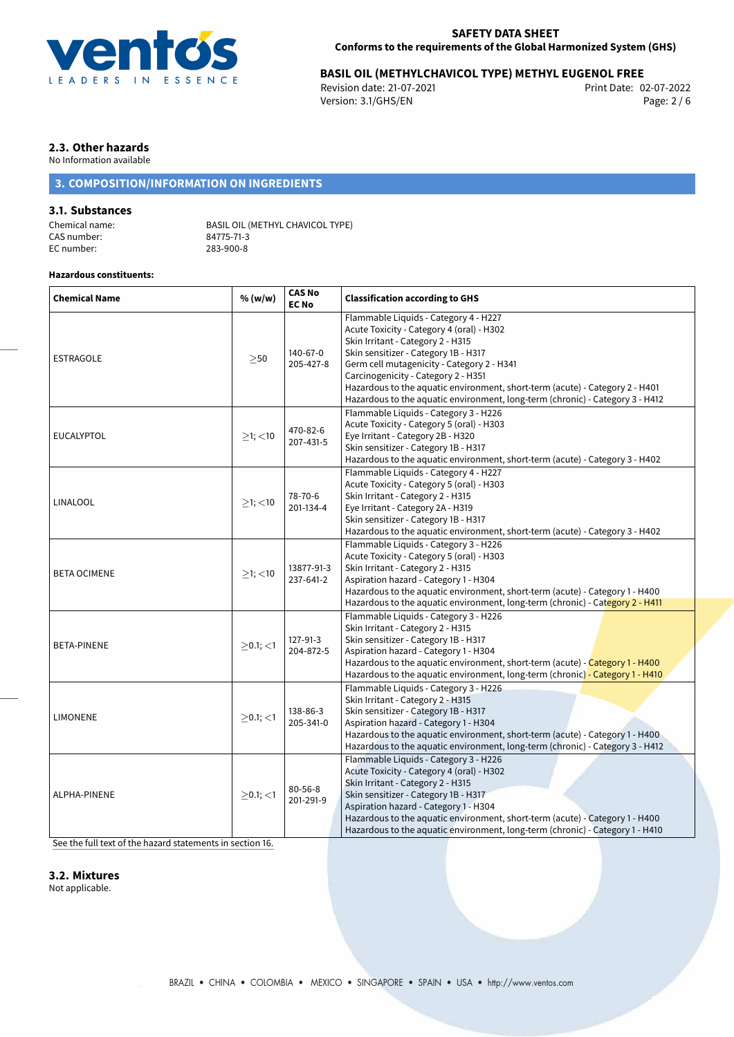

# 02-07-2022 **BASIL OIL (METHYLCHAVICOL TYPE) METHYL EUGENOL FREE**

Revision date: 21-07-2021 Version: 3.1/GHS/EN Page: 2 / 6

# **2.3. Other hazards**

No Information available

# **3. COMPOSITION/INFORMATION ON INGREDIENTS**

# **3.1. Substances**

CAS number: 84775-71-3<br>EC number: 283-900-8 EC number:

Chemical name: BASIL OIL (METHYL CHAVICOL TYPE)<br>CAS number: 84775-71-3

## **Hazardous constituents:**

| <b>Chemical Name</b> | % (w/w)        | <b>CAS No</b><br><b>EC No</b> | <b>Classification according to GHS</b>                                                                                                                                                                                                                                                                                                                                                                                |  |
|----------------------|----------------|-------------------------------|-----------------------------------------------------------------------------------------------------------------------------------------------------------------------------------------------------------------------------------------------------------------------------------------------------------------------------------------------------------------------------------------------------------------------|--|
| <b>ESTRAGOLE</b>     | $\geq$ 50      | 140-67-0<br>205-427-8         | Flammable Liquids - Category 4 - H227<br>Acute Toxicity - Category 4 (oral) - H302<br>Skin Irritant - Category 2 - H315<br>Skin sensitizer - Category 1B - H317<br>Germ cell mutagenicity - Category 2 - H341<br>Carcinogenicity - Category 2 - H351<br>Hazardous to the aquatic environment, short-term (acute) - Category 2 - H401<br>Hazardous to the aquatic environment, long-term (chronic) - Category 3 - H412 |  |
| <b>EUCALYPTOL</b>    | $>1$ ; $<$ 10  | 470-82-6<br>207-431-5         | Flammable Liquids - Category 3 - H226<br>Acute Toxicity - Category 5 (oral) - H303<br>Eye Irritant - Category 2B - H320<br>Skin sensitizer - Category 1B - H317<br>Hazardous to the aquatic environment, short-term (acute) - Category 3 - H402                                                                                                                                                                       |  |
| <b>LINALOOL</b>      | $>1$ ; $<$ 10  | 78-70-6<br>201-134-4          | Flammable Liquids - Category 4 - H227<br>Acute Toxicity - Category 5 (oral) - H303<br>Skin Irritant - Category 2 - H315<br>Eye Irritant - Category 2A - H319<br>Skin sensitizer - Category 1B - H317<br>Hazardous to the aquatic environment, short-term (acute) - Category 3 - H402                                                                                                                                  |  |
| <b>BETA OCIMENE</b>  | $>1$ ; $<$ 10  | 13877-91-3<br>237-641-2       | Flammable Liquids - Category 3 - H226<br>Acute Toxicity - Category 5 (oral) - H303<br>Skin Irritant - Category 2 - H315<br>Aspiration hazard - Category 1 - H304<br>Hazardous to the aquatic environment, short-term (acute) - Category 1 - H400<br>Hazardous to the aquatic environment, long-term (chronic) - Category 2 - H411                                                                                     |  |
| <b>BETA-PINENE</b>   | $>0.1$ ; $<$ 1 | 127-91-3<br>204-872-5         | Flammable Liquids - Category 3 - H226<br>Skin Irritant - Category 2 - H315<br>Skin sensitizer - Category 1B - H317<br>Aspiration hazard - Category 1 - H304<br>Hazardous to the aquatic environment, short-term (acute) - Category 1 - H400<br>Hazardous to the aquatic environment, long-term (chronic) - Category 1 - H410                                                                                          |  |
| <b>LIMONENE</b>      | $>0.1$ ; $<$ 1 | 138-86-3<br>205-341-0         | Flammable Liquids - Category 3 - H226<br>Skin Irritant - Category 2 - H315<br>Skin sensitizer - Category 1B - H317<br>Aspiration hazard - Category 1 - H304<br>Hazardous to the aquatic environment, short-term (acute) - Category 1 - H400<br>Hazardous to the aquatic environment, long-term (chronic) - Category 3 - H412                                                                                          |  |
| ALPHA-PINENE         | $>0.1$ ; <1    | $80 - 56 - 8$<br>201-291-9    | Flammable Liquids - Category 3 - H226<br>Acute Toxicity - Category 4 (oral) - H302<br>Skin Irritant - Category 2 - H315<br>Skin sensitizer - Category 1B - H317<br>Aspiration hazard - Category 1 - H304<br>Hazardous to the aquatic environment, short-term (acute) - Category 1 - H400<br>Hazardous to the aquatic environment, long-term (chronic) - Category 1 - H410                                             |  |

[See the full text of the hazard statements in section 16.](#page-4-0)

## **3.2. Mixtures**

Not applicable.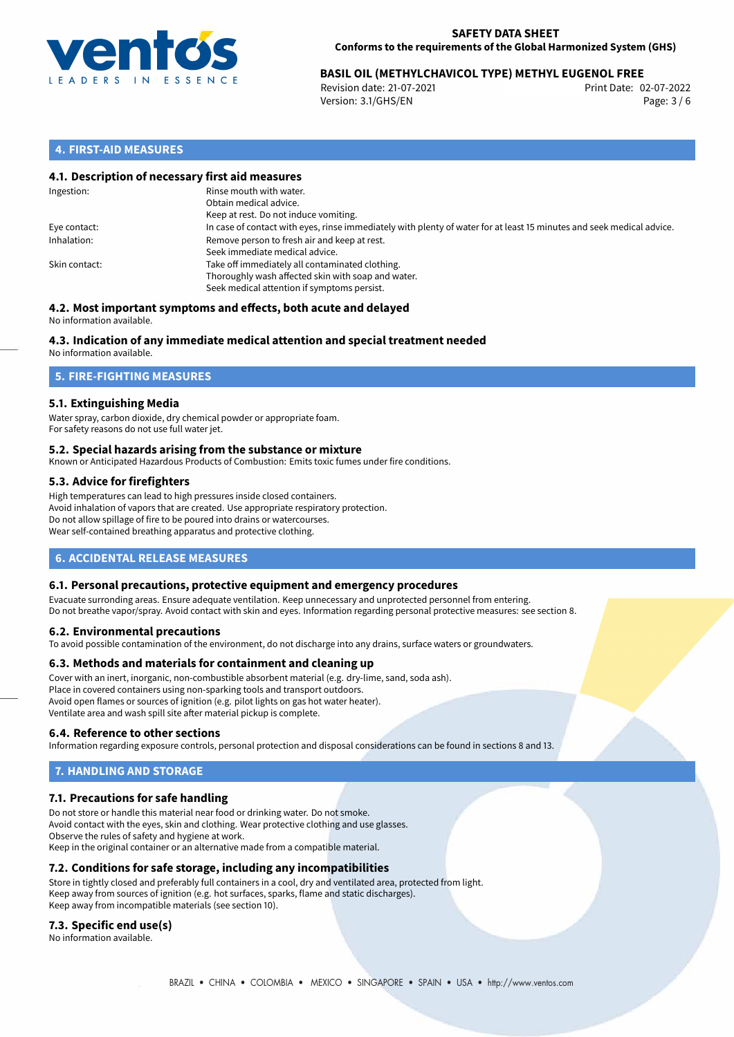

# **BASIL OIL (METHYLCHAVICOL TYPE) METHYL EUGENOL FREE**<br>Revision date: 21-07-2021<br>Print Date: 02-07-2022

Revision date: 21-07-2021 Version: 3.1/GHS/EN Page: 3 / 6

# **4. FIRST-AID MEASURES**

## **4.1. Description of necessary first aid measures**

| Ingestion:    | Rinse mouth with water.<br>Obtain medical advice.<br>Keep at rest. Do not induce vomiting.                                                           |
|---------------|------------------------------------------------------------------------------------------------------------------------------------------------------|
| Eye contact:  | In case of contact with eyes, rinse immediately with plenty of water for at least 15 minutes and seek medical advice.                                |
| Inhalation:   | Remove person to fresh air and keep at rest.<br>Seek immediate medical advice.                                                                       |
| Skin contact: | Take off immediately all contaminated clothing.<br>Thoroughly wash affected skin with soap and water.<br>Seek medical attention if symptoms persist. |

#### **4.2. Most important symptoms and effects, both acute and delayed** No information available.

# **4.3. Indication of any immediate medical attention and special treatment needed**

No information available.

# **5. FIRE-FIGHTING MEASURES**

## **5.1. Extinguishing Media**

Water spray, carbon dioxide, dry chemical powder or appropriate foam. For safety reasons do not use full water jet.

### **5.2. Special hazards arising from the substance or mixture**

Known or Anticipated Hazardous Products of Combustion: Emits toxic fumes under fire conditions.

### **5.3. Advice for firefighters**

High temperatures can lead to high pressures inside closed containers. Avoid inhalation of vapors that are created. Use appropriate respiratory protection. Do not allow spillage of fire to be poured into drains or watercourses. Wear self-contained breathing apparatus and protective clothing.

# **6. ACCIDENTAL RELEASE MEASURES**

### **6.1. Personal precautions, protective equipment and emergency procedures**

Evacuate surronding areas. Ensure adequate ventilation. Keep unnecessary and unprotected personnel from entering. Do not breathe vapor/spray. Avoid contact with skin and eyes. Information regarding personal protective measures: see section 8.

### **6.2. Environmental precautions**

To avoid possible contamination of the environment, do not discharge into any drains, surface waters or groundwaters.

### **6.3. Methods and materials for containment and cleaning up**

Cover with an inert, inorganic, non-combustible absorbent material (e.g. dry-lime, sand, soda ash). Place in covered containers using non-sparking tools and transport outdoors. Avoid open flames or sources of ignition (e.g. pilot lights on gas hot water heater). Ventilate area and wash spill site after material pickup is complete.

### **6.4. Reference to other sections**

Information regarding exposure controls, personal protection and disposal considerations can be found in sections 8 and 13.

# **7. HANDLING AND STORAGE**

## **7.1. Precautions for safe handling**

Do not store or handle this material near food or drinking water. Do not smoke. Avoid contact with the eyes, skin and clothing. Wear protective clothing and use glasses. Observe the rules of safety and hygiene at work. Keep in the original container or an alternative made from a compatible material.

## **7.2. Conditions for safe storage, including any incompatibilities**

Store in tightly closed and preferably full containers in a cool, dry and ventilated area, protected from light. Keep away from sources of ignition (e.g. hot surfaces, sparks, flame and static discharges). Keep away from incompatible materials (see section 10).

### **7.3. Specific end use(s)**

No information available.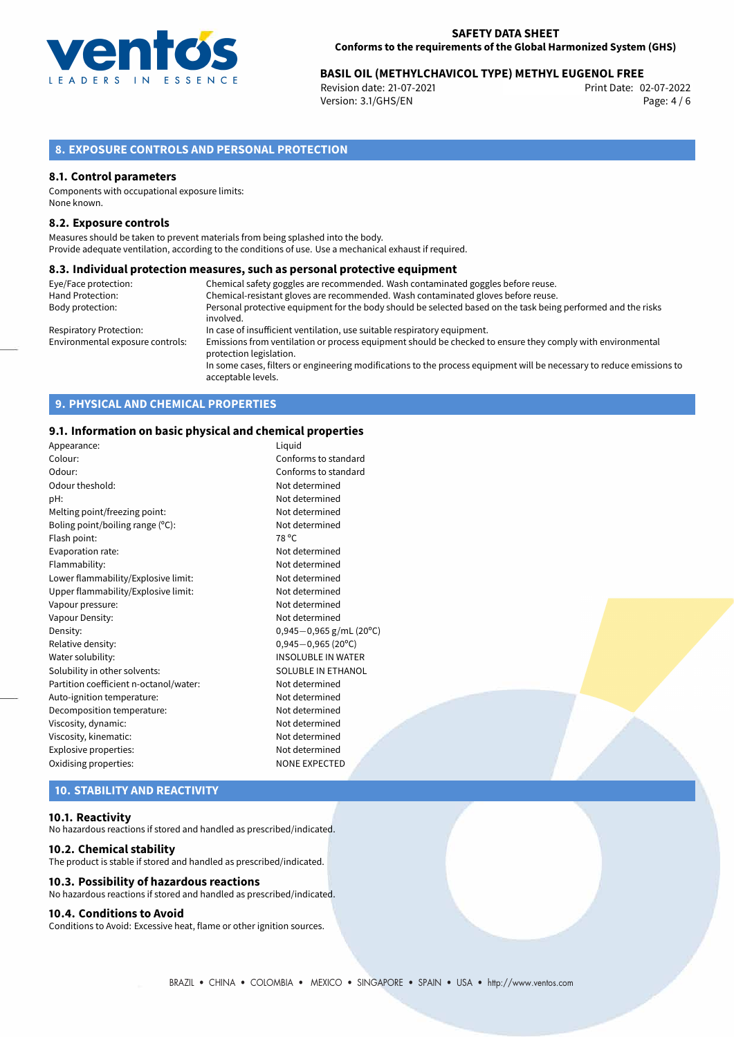

# 02-07-2022 **BASIL OIL (METHYLCHAVICOL TYPE) METHYL EUGENOL FREE**

Revision date: 21-07-2021 Version: 3.1/GHS/EN Page: 4 / 6

# **8. EXPOSURE CONTROLS AND PERSONAL PROTECTION**

### **8.1. Control parameters**

Components with occupational exposure limits: None known.

### **8.2. Exposure controls**

Measures should be taken to prevent materials from being splashed into the body. Provide adequate ventilation, according to the conditions of use. Use a mechanical exhaust if required.

### **8.3. Individual protection measures, such as personal protective equipment**

| Eye/Face protection:             | Chemical safety goggles are recommended. Wash contaminated goggles before reuse.                                                            |  |
|----------------------------------|---------------------------------------------------------------------------------------------------------------------------------------------|--|
| Hand Protection:                 | Chemical-resistant gloves are recommended. Wash contaminated gloves before reuse.                                                           |  |
| Body protection:                 | Personal protective equipment for the body should be selected based on the task being performed and the risks                               |  |
|                                  | involved.                                                                                                                                   |  |
| Respiratory Protection:          | In case of insufficient ventilation, use suitable respiratory equipment.                                                                    |  |
| Environmental exposure controls: | Emissions from ventilation or process equipment should be checked to ensure they comply with environmental<br>protection legislation.       |  |
|                                  | In some cases, filters or engineering modifications to the process equipment will be necessary to reduce emissions to<br>acceptable levels. |  |

# **9. PHYSICAL AND CHEMICAL PROPERTIES**

### **9.1. Information on basic physical and chemical properties**

| Appearance:                            | Liguid                    |
|----------------------------------------|---------------------------|
| Colour:                                | Conforms to standard      |
| Odour:                                 | Conforms to standard      |
| Odour theshold:                        | Not determined            |
| pH:                                    | Not determined            |
| Melting point/freezing point:          | Not determined            |
| Boling point/boiling range (°C):       | Not determined            |
| Flash point:                           | 78 °C                     |
| Evaporation rate:                      | Not determined            |
| Flammability:                          | Not determined            |
| Lower flammability/Explosive limit:    | Not determined            |
| Upper flammability/Explosive limit:    | Not determined            |
| Vapour pressure:                       | Not determined            |
| Vapour Density:                        | Not determined            |
| Density:                               | $0,945-0,965$ g/mL (20°C) |
| Relative density:                      | $0,945 - 0,965$ (20°C)    |
| Water solubility:                      | <b>INSOLUBLE IN WATER</b> |
| Solubility in other solvents:          | SOLUBLE IN ETHANOL        |
| Partition coefficient n-octanol/water: | Not determined            |
| Auto-ignition temperature:             | Not determined            |
| Decomposition temperature:             | Not determined            |
| Viscosity, dynamic:                    | Not determined            |
| Viscosity, kinematic:                  | Not determined            |
| Explosive properties:                  | Not determined            |
| Oxidising properties:                  | <b>NONE EXPECTED</b>      |
|                                        |                           |

# **10. STABILITY AND REACTIVITY**

### **10.1. Reactivity**

No hazardous reactions if stored and handled as prescribed/indicated.

### **10.2. Chemical stability**

The product is stable if stored and handled as prescribed/indicated.

## **10.3. Possibility of hazardous reactions**

No hazardous reactions if stored and handled as prescribed/indicated.

## **10.4. Conditions to Avoid**

Conditions to Avoid: Excessive heat, flame or other ignition sources.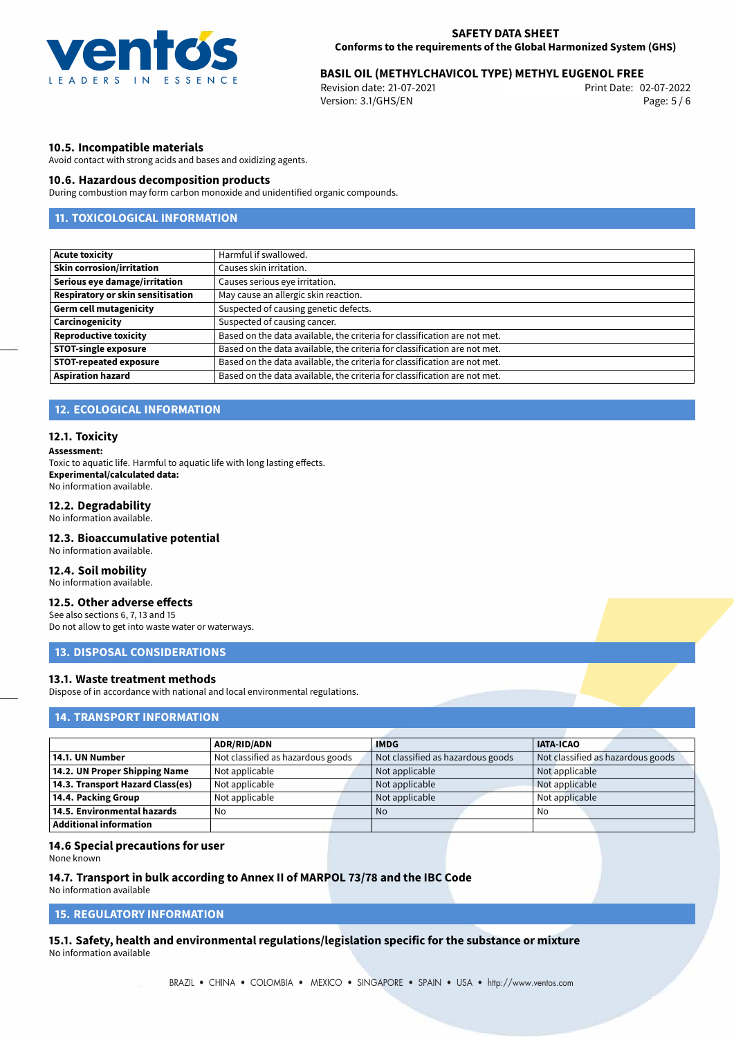

# 02-07-2022 **BASIL OIL (METHYLCHAVICOL TYPE) METHYL EUGENOL FREE**

Revision date: 21-07-2021 Version: 3.1/GHS/EN Page: 5 / 6

## **10.5. Incompatible materials**

Avoid contact with strong acids and bases and oxidizing agents.

### **10.6. Hazardous decomposition products**

During combustion may form carbon monoxide and unidentified organic compounds.

# **11. TOXICOLOGICAL INFORMATION**

| <b>Acute toxicity</b>             | Harmful if swallowed.                                                     |  |
|-----------------------------------|---------------------------------------------------------------------------|--|
| <b>Skin corrosion/irritation</b>  | Causes skin irritation.                                                   |  |
| Serious eye damage/irritation     | Causes serious eye irritation.                                            |  |
| Respiratory or skin sensitisation | May cause an allergic skin reaction.                                      |  |
| <b>Germ cell mutagenicity</b>     | Suspected of causing genetic defects.                                     |  |
| Carcinogenicity                   | Suspected of causing cancer.                                              |  |
| <b>Reproductive toxicity</b>      | Based on the data available, the criteria for classification are not met. |  |
| <b>STOT-single exposure</b>       | Based on the data available, the criteria for classification are not met. |  |
| <b>STOT-repeated exposure</b>     | Based on the data available, the criteria for classification are not met. |  |
| <b>Aspiration hazard</b>          | Based on the data available, the criteria for classification are not met. |  |

## **12. ECOLOGICAL INFORMATION**

### **12.1. Toxicity**

#### **Assessment:**

Toxic to aquatic life. Harmful to aquatic life with long lasting effects. **Experimental/calculated data:** No information available.

## **12.2. Degradability**

No information available.

### **12.3. Bioaccumulative potential**

No information available.

## **12.4. Soil mobility**

No information available.

# **12.5. Other adverse effects**

See also sections 6, 7, 13 and 15 Do not allow to get into waste water or waterways.

## **13. DISPOSAL CONSIDERATIONS**

## **13.1. Waste treatment methods**

Dispose of in accordance with national and local environmental regulations.

## **14. TRANSPORT INFORMATION**

|                                    | <b>ADR/RID/ADN</b>                | <b>IMDG</b>                       | <b>IATA-ICAO</b>                  |
|------------------------------------|-----------------------------------|-----------------------------------|-----------------------------------|
| 14.1. UN Number                    | Not classified as hazardous goods | Not classified as hazardous goods | Not classified as hazardous goods |
| 14.2. UN Proper Shipping Name      | Not applicable                    | Not applicable                    | Not applicable                    |
| 14.3. Transport Hazard Class(es)   | Not applicable                    | Not applicable                    | Not applicable                    |
| 14.4. Packing Group                | Not applicable                    | Not applicable                    | Not applicable                    |
| $\mid$ 14.5. Environmental hazards | No                                | No.                               | No                                |
| Additional information             |                                   |                                   |                                   |

### **14.6 Special precautions for user**

None known

### **14.7. Transport in bulk according to Annex II of MARPOL 73/78 and the IBC Code**

No information available

# **15. REGULATORY INFORMATION**

<span id="page-4-0"></span>**15.1. Safety, health and environmental regulations/legislation specific for the substance or mixture** No information available